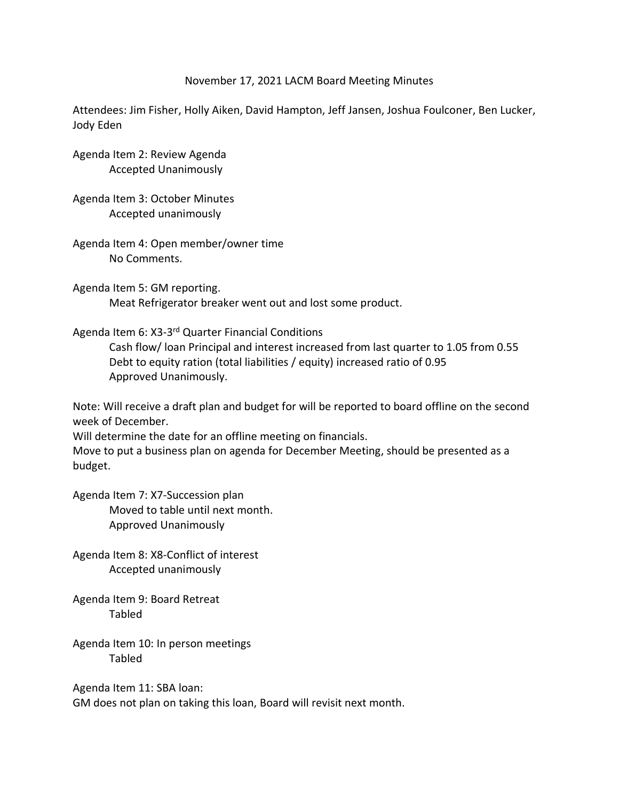## November 17, 2021 LACM Board Meeting Minutes

Attendees: Jim Fisher, Holly Aiken, David Hampton, Jeff Jansen, Joshua Foulconer, Ben Lucker, Jody Eden

Agenda Item 2: Review Agenda Accepted Unanimously

Agenda Item 3: October Minutes Accepted unanimously

Agenda Item 4: Open member/owner time No Comments.

Agenda Item 5: GM reporting. Meat Refrigerator breaker went out and lost some product.

Agenda Item 6: X3-3<sup>rd</sup> Quarter Financial Conditions

Cash flow/ loan Principal and interest increased from last quarter to 1.05 from 0.55 Debt to equity ration (total liabilities / equity) increased ratio of 0.95 Approved Unanimously.

Note: Will receive a draft plan and budget for will be reported to board offline on the second week of December.

Will determine the date for an offline meeting on financials.

Move to put a business plan on agenda for December Meeting, should be presented as a budget.

Agenda Item 7: X7-Succession plan Moved to table until next month. Approved Unanimously

Agenda Item 8: X8-Conflict of interest Accepted unanimously

Agenda Item 9: Board Retreat Tabled

Agenda Item 10: In person meetings Tabled

Agenda Item 11: SBA loan: GM does not plan on taking this loan, Board will revisit next month.